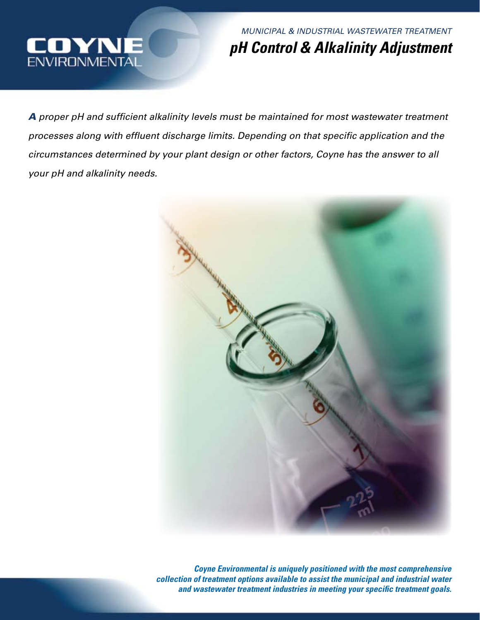

*MUNICIPAL & INDUSTRIAL WASTEWATER TREATMENT pH Control & Alkalinity Adjustment*

*A proper pH and sufficient alkalinity levels must be maintained for most wastewater treatment processes along with effluent discharge limits. Depending on that specific application and the circumstances determined by your plant design or other factors, Coyne has the answer to all your pH and alkalinity needs.*



*Coyne Environmental is uniquely positioned with the most comprehensive collection of treatment options available to assist the municipal and industrial water and wastewater treatment industries in meeting your specific treatment goals.*